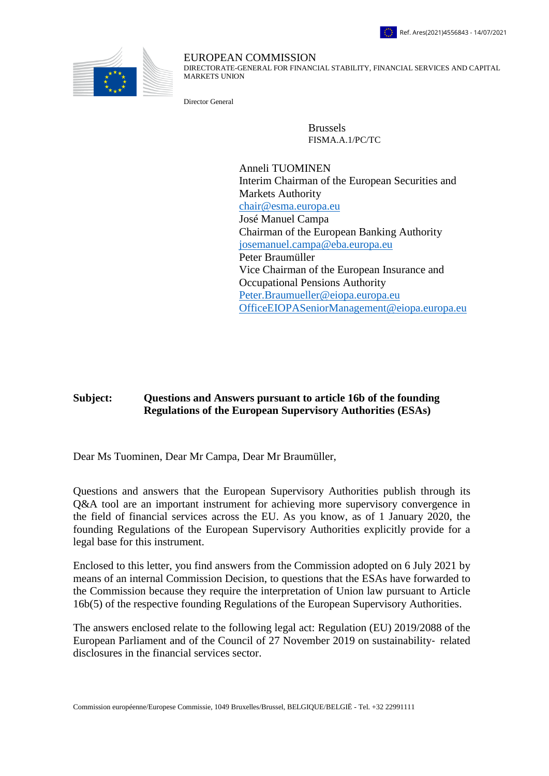



## EUROPEAN COMMISSION

DIRECTORATE-GENERAL FOR FINANCIAL STABILITY, FINANCIAL SERVICES AND CAPITAL MARKETS UNION

Director General

Brussels FISMA.A.1/PC/TC

Anneli TUOMINEN Interim Chairman of the European Securities and Markets Authority [chair@esma.europa.eu](mailto:chair@esma.europa.eu) José Manuel Campa Chairman of the European Banking Authority [josemanuel.campa@eba.europa.eu](mailto:josemanuel.campa@eba.europa.eu) Peter Braumüller Vice Chairman of the European Insurance and Occupational Pensions Authority [Peter.Braumueller@eiopa.europa.eu](mailto:Peter.Braumueller@eiopa.europa.eu) [OfficeEIOPASeniorManagement@eiopa.europa.eu](mailto:OfficeEIOPASeniorManagement@eiopa.europa.eu)

## **Subject: Questions and Answers pursuant to article 16b of the founding Regulations of the European Supervisory Authorities (ESAs)**

Dear Ms Tuominen, Dear Mr Campa, Dear Mr Braumüller,

Questions and answers that the European Supervisory Authorities publish through its Q&A tool are an important instrument for achieving more supervisory convergence in the field of financial services across the EU. As you know, as of 1 January 2020, the founding Regulations of the European Supervisory Authorities explicitly provide for a legal base for this instrument.

Enclosed to this letter, you find answers from the Commission adopted on 6 July 2021 by means of an internal Commission Decision, to questions that the ESAs have forwarded to the Commission because they require the interpretation of Union law pursuant to Article 16b(5) of the respective founding Regulations of the European Supervisory Authorities.

The answers enclosed relate to the following legal act: Regulation (EU) 2019/2088 of the European Parliament and of the Council of 27 November 2019 on sustainability-related disclosures in the financial services sector.